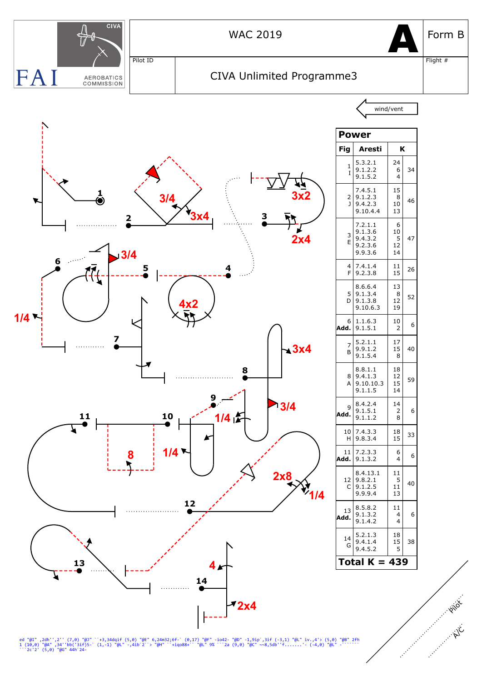

ed "@I" ,2dh'',2'' (7,0) "@J" ``+3,34dqif (5,0) "@E" 6,24m32;6f-` (0,17) "@F" -io42- "@D" -1,9ip`,3if (-3,1) "@L" iv.,4'> (5,0) "@B" 2fh<br>1 (10,0) "@A" ,34''bb('3if)5-` (1,-1) "@L" -,4ib`2``> "@H" ``+iqo88+`` "@L" 9% ```2a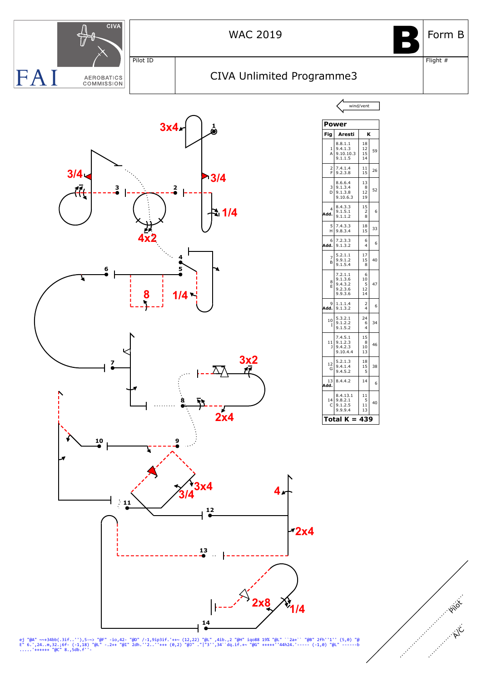

ej "@A" ~~+34bb(.3if..''),5-~> "@F" -io,42- "@D" /-1,9ip3if.'++~ (12,22) "@L" ,4ib.,2 "@H" iqo88 19% "@L" ``2a+`` "@B" 2fh''1'' (5,0) "@<br>E" 6.',24..m,32.;6f- (-1,18) "@L" -.2++ "@I" 2dh.''2..''+++ (0,2) "@J" ."|"3'',34``dq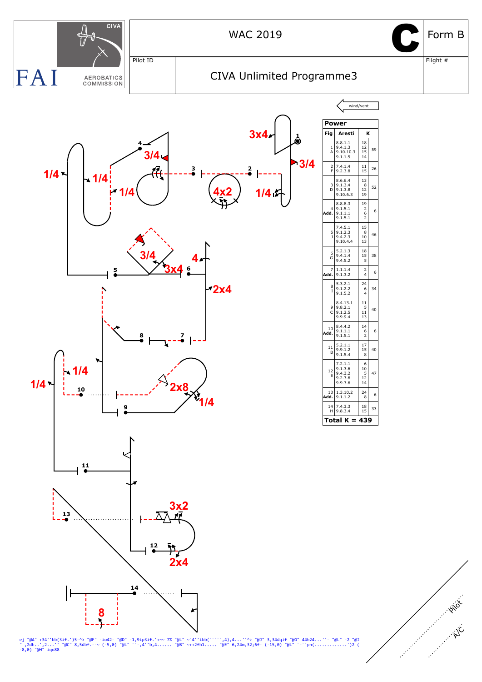

ej "@A" +34''bb(3if.')5-^> "@F" -io42- "@D" -1,9ip3if.'+~~ 7% "@L" ~`4''ibb(`````,4),4...''^> "@J" 3,34dqif "@G" 44h24...''- "@L" -2 "@I<br>" ,2dh..',2...'' "@C" 8,5dbf.--~ (-5,0) "@L" ``-,4''b,4...... "@B" ~++2fh1..... "@E"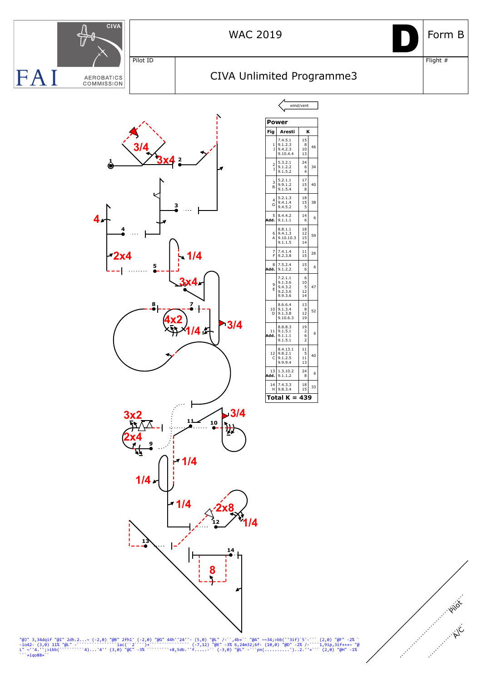

"@J" 3,34dqif "@I" 2dh.2...~ (-2,0) "@B" 2fh1' (-2,0) "@G" 44h''24''- (5,0) "@L" /-``,4b+`` "@A" ~~34;>bb(''3if)`5'-``` (2,0) "@F" -2% `<br>-io42- (3,0) 11% "@L" -`````````````iac(``2```)+````````````` (-7,12) "@E" -3% 6,24m3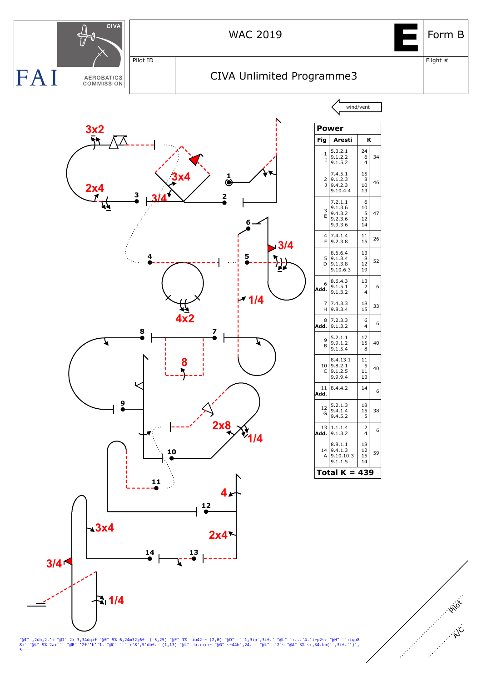

"@I" ,2dh,2.'+ "@J" 2> 3,34dqif "@E" 5% 6,24m32;6f- (-5,25) "@F" 1% -io42~~ (2,0) "@D" -``1,9ip`,3if.' "@L" `+...'4.'irp2~> "@H" ``+iqo8<br>8+` "@L" 9% 2a+``` "@B" '2f''h''1. "@C" ````+'8',5'dbf.- (1,13) "@L" -b.++++~ "@G" ~~ 5----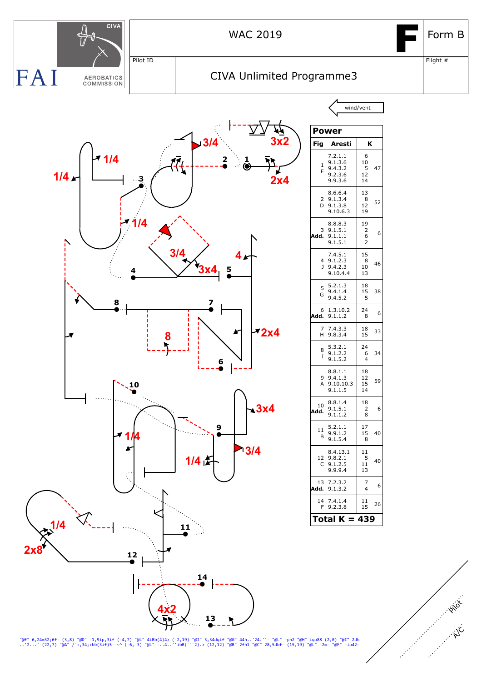

"@E" 6,24m32;6f- (3,8) "@D" -1,9ip,3if (-4,7) "@L" 4iBb(4)4> (-2,19) "@J" 3,34dqif "@G" 44h..'24.''- "@L" -pn2 "@H" iqo88 (2,0) "@I" 2dh<br>..'2...' (22,7) "@A" /`+,34;>bb(3if)5--~^ (-6,-3) "@L" -..4..''ibB(```2).> (12,12) "@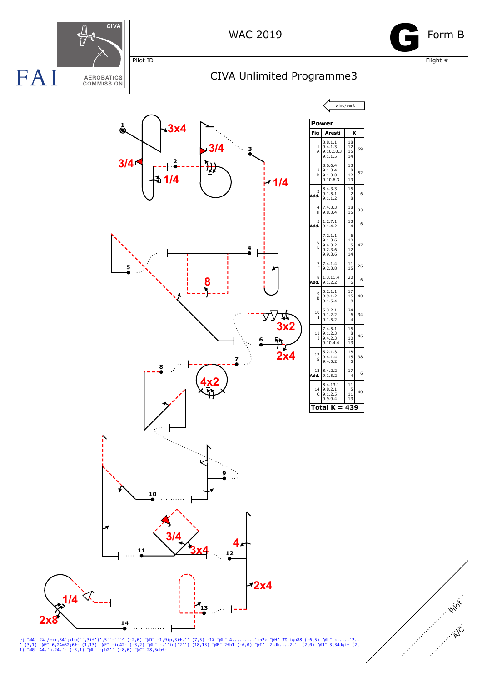

ej "@A" 2% /~++,34`;>bb(``,3if')',5``-``^ (-2,0) "@D" -1,9ip,3if.'' (7,5) -1% "@L" 4.........'ib2> "@H" 3% iqo88 (-6,5) "@L" k.....'2..<br>' (3,1) "@E" 6,24m32;6f- (1,13) "@F" -io42- (-3,2) "@L" -.'in('2'') (18,13) "@B" 2fh1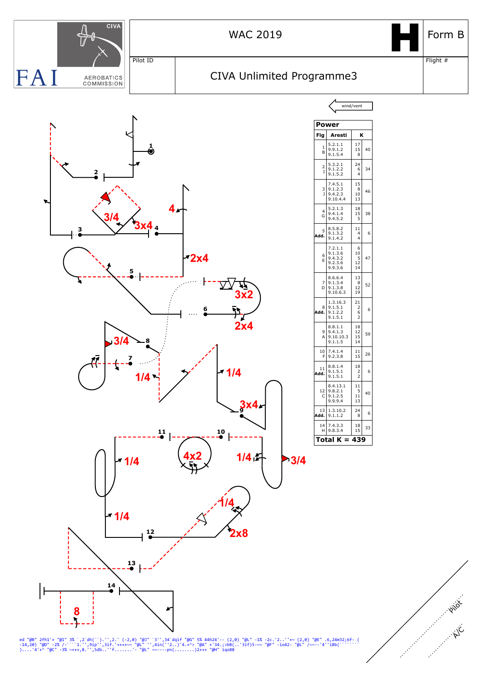

ed "@B" 2fh1'+ "@I" 3% `,2`dh(``).'',2.' (-2,0) "@J" `3'',34`dqif "@G" 5% 44h24'-- (2,0) "@L" -1% -2c.'2..''+~ (2,0) "@E" .6,24m32;6f- (<br>-14,20) "@D" -2% /-```1.'',9ip'',3if.'++++~~ "@L" '',4in(''2..)'4.+^> "@A" +'34.;>bB(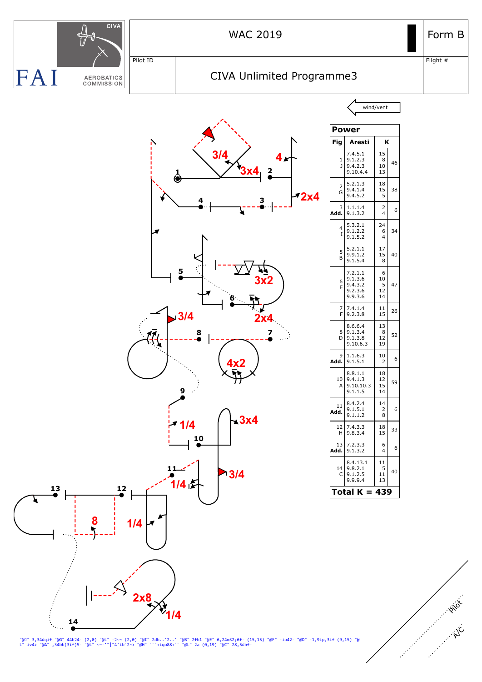

"@J" 3,34dqif "@G" 44h24- (2,0) "@L" -2~~ (2,0) "@I" 2dh..'2..' "@B" 2fh1 "@E" 6,24m32;6f- (15,15) "@F" -io42- "@D" -1,9ip,3if (9,15) "@<br>L" iv4> "@A" ,34bb(3if)5- "@L" ~~-'"|"4'ib`2~> "@H" ```+iqo88+`` "@L" 2a (0,19) "@C"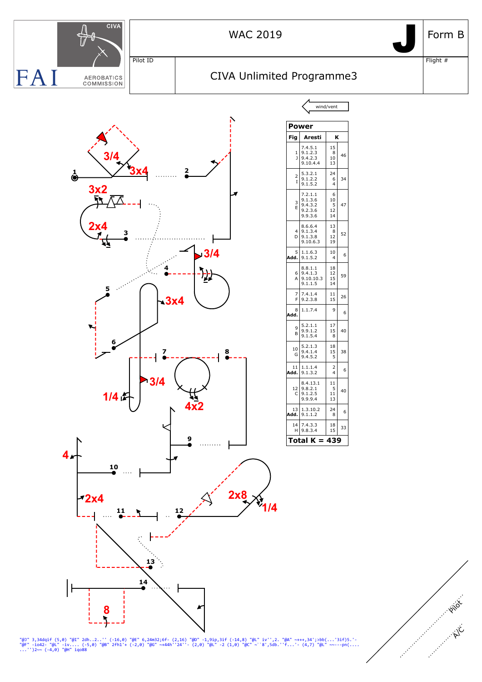![](_page_9_Figure_0.jpeg)

"@J" 3,34dqif (5,0) "@I" 2dh..2..'' (-16,0) "@E" 6,24m32;6f- (2,16) "@D" -1,9ip,3if (-14,8) "@L" iv'',2. "@A" ~+++,34';>bb(...'3if)5.'-<br>"@F" -io42- "@L" -iv.... (-5,0) "@B" 2fh1'+ (-2,0) "@G" ~+44h''24''- (2,0) "@L" -2 (1,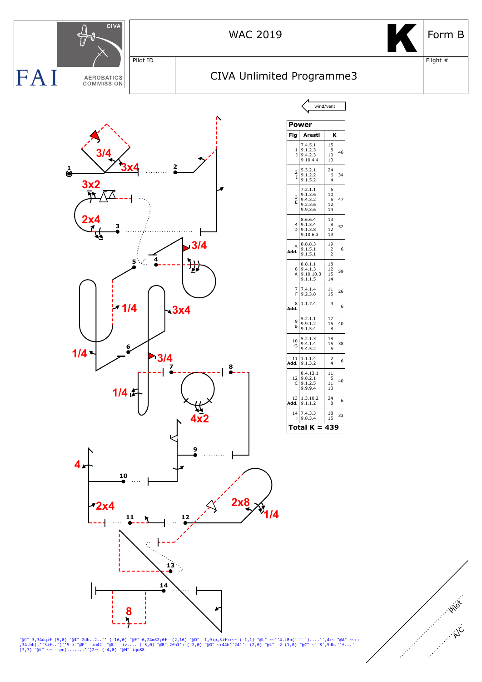![](_page_10_Figure_0.jpeg)

"@J" 3,34dqif (5,0) "@I" 2dh..2..'' (-16,0) "@E" 6,24m32;6f- (2,16) "@D" -1,9ip,3if++~~ (-1,1) "@L" ~~''4.iBb(````)....'',4+~ "@A" ~~++<br>,34.bb(.''3if..')''5-> "@F" -io42- "@L" -iv.... (-5,0) "@B" 2fh1'+ (-2,0) "@G" ~+44h''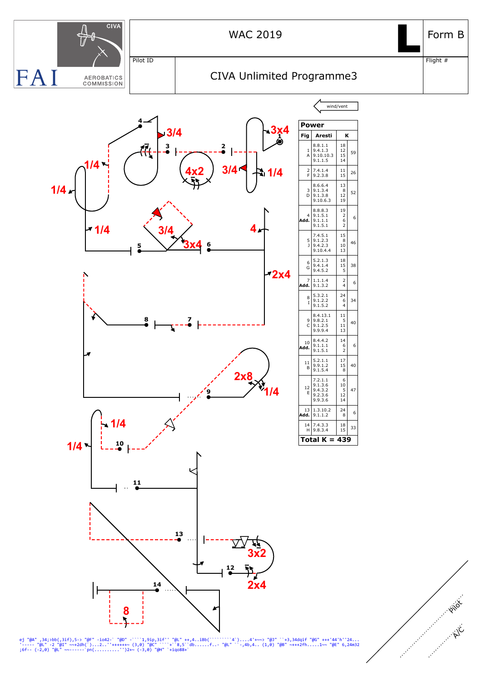![](_page_11_Figure_0.jpeg)

ej "@A" ,34;>bb(,3if),5-> "@F" -io42-` "@D" -````1,9ip,3if'' "@L" ++,4..iBb(```````4`)....4'+~~> "@J" ``+3,34dqif "@G" +++'44'h''24...<br>'----- "@L" -2 "@I" ~~+2dh(`)...2..''+++++++ (3,0) "@C" ```+`8,5``db......f..- "@L" ``-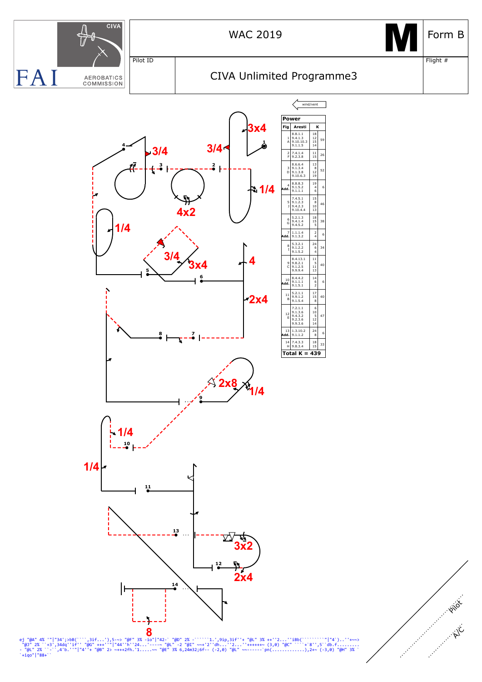![](_page_12_Figure_0.jpeg)

ej "@A" 4% '"|"34';>bB(```,3if...'),5-~> "@F" 3% -io"|"42-` "@D" 2% -`````1.',9ip,3if''+ "@L" 3% ++''2...''iBb(```````"|"4`)..''+~~><br>"@J" 2% `+3',34dq''if'' "@G" +++''"|"44''ih''24...'----~ "@L" 2% -`````'1.',9ip,3if''+ "@ 4" 4% '"|"34';>bB(````,3if...'),5-~> "@F<br>2% ``+3',34dq''if'' "@G" +++''"|"44''h''<br>' 2% ``-``,4'b.''"|"4''+ "@B" <sup>-</sup>><br>'|"88+``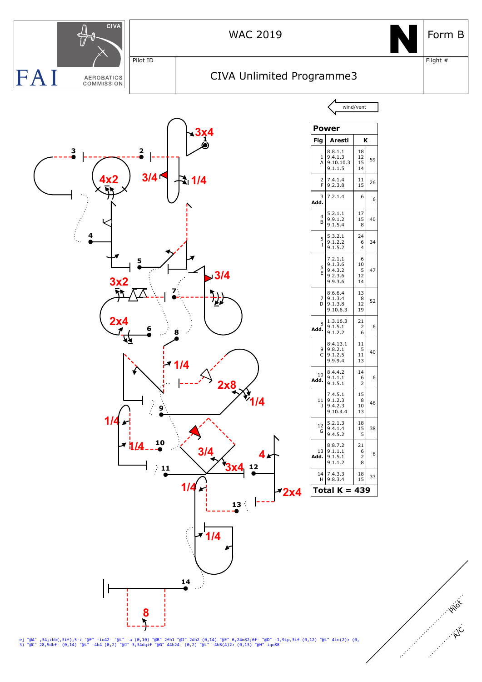![](_page_13_Figure_0.jpeg)

ej "@A" ,34;>bb(,3if),5-> "@F" -io42- "@L" -a (0,10) "@B" 2fh1 "@I" 2dh2 (0,14) "@E" 6,24m32;6f- "@D" -1,9ip,3if (0,12) "@L" 4in(2)> (0,<br>3) "@C" 28,5dbf- (0,14) "@L" -4b4 (0,2) "@J" 3,34dqif "@G" 44h24- (0,2) "@L" -4bB(4)2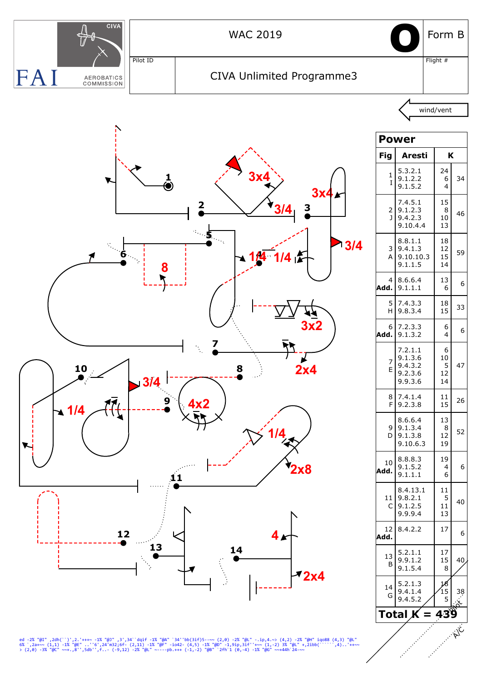![](_page_14_Figure_0.jpeg)

ed -2% "@I" ,2dh(``)',2.'+++~ -1% "@J" ,3',34``dqif -1% "@A" `34''bb(3if)5--~~ (2,0) -2% "@L" -.ip,4.~> (4,2) -2% "@H" iqo88 (4,3) "@L"<br>6% `,2a+~~ (1,1) -1% "@E" ..''6',24'm32;6f- (2,11) -1% "@F" -io42- (4,5) -1% "@D" -1,9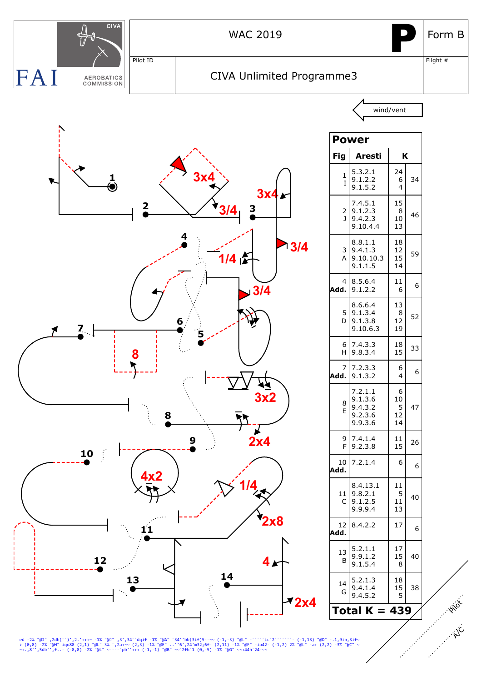![](_page_15_Figure_0.jpeg)

ed -2% "@I" ,2dh(``)',2.'+++~ -1% "@J" ,3',34``dqif -1% "@A" `34''bb(3if)5--~~ (-1,-3) "@L" -`````ic`2`````` (-1,13) "@D" -.1,9ip,3if~<br>> (0,8) -2% "@H" iqo88 (2,1) "@L" 3% `,2a+~~ (2,3) -1% "@E" ..''6',24'm32;6f- (2,11) -